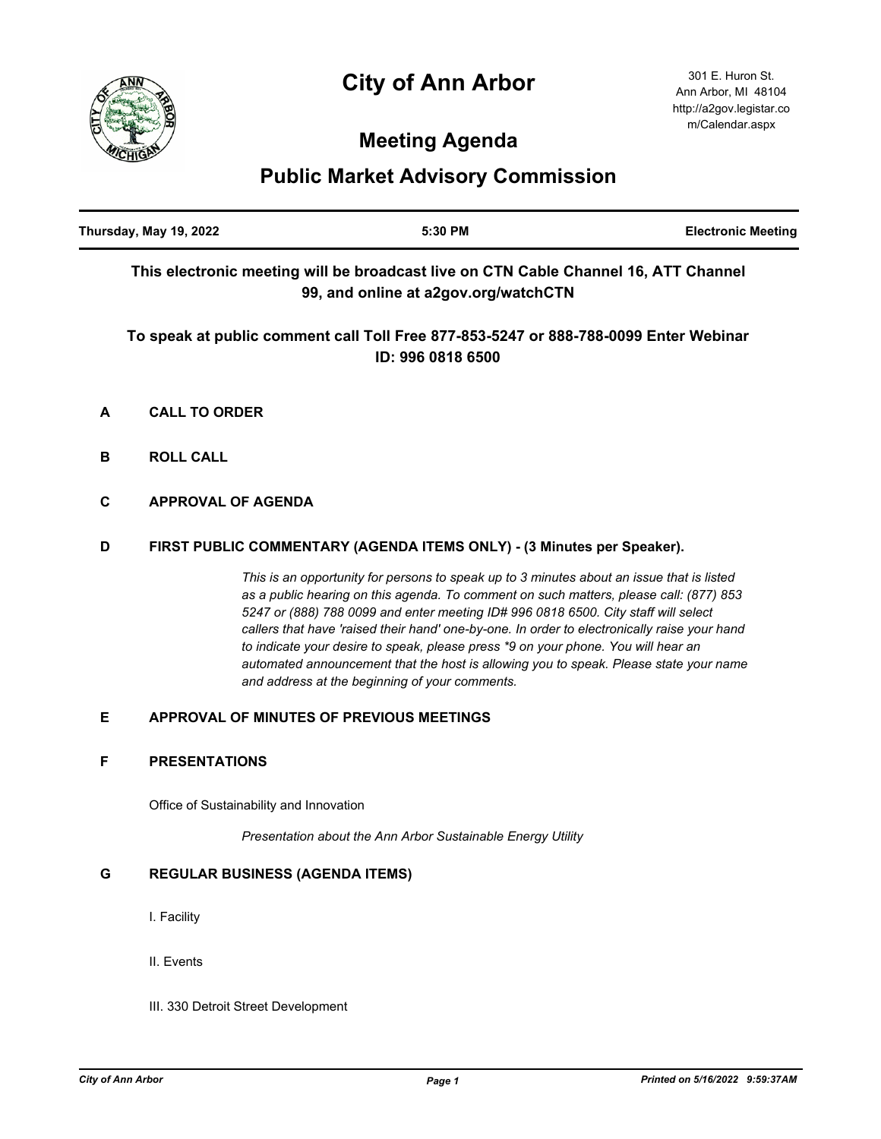# **City of Ann Arbor**



## **Meeting Agenda**

## **Public Market Advisory Commission**

| Thursday, May 19, 2022 | 5:30 PM                                                                                                                     | <b>Electronic Meeting</b> |
|------------------------|-----------------------------------------------------------------------------------------------------------------------------|---------------------------|
|                        | This electronic meeting will be broadcast live on CTN Cable Channel 16, ATT Channel<br>99, and online at a2gov.org/watchCTN |                           |
|                        | To speak at public comment call Toll Free 877-853-5247 or 888-788-0099 Enter Webinar                                        |                           |
|                        | ID: 996 0818 6500                                                                                                           |                           |

- **A CALL TO ORDER**
- **B ROLL CALL**
- **C APPROVAL OF AGENDA**

## **D FIRST PUBLIC COMMENTARY (AGENDA ITEMS ONLY) - (3 Minutes per Speaker).**

*This is an opportunity for persons to speak up to 3 minutes about an issue that is listed as a public hearing on this agenda. To comment on such matters, please call: (877) 853 5247 or (888) 788 0099 and enter meeting ID# 996 0818 6500. City staff will select callers that have 'raised their hand' one-by-one. In order to electronically raise your hand to indicate your desire to speak, please press \*9 on your phone. You will hear an automated announcement that the host is allowing you to speak. Please state your name and address at the beginning of your comments.*

### **E APPROVAL OF MINUTES OF PREVIOUS MEETINGS**

### **F PRESENTATIONS**

Office of Sustainability and Innovation

*Presentation about the Ann Arbor Sustainable Energy Utility*

### **G REGULAR BUSINESS (AGENDA ITEMS)**

- I. Facility
- II. Events
- III. 330 Detroit Street Development